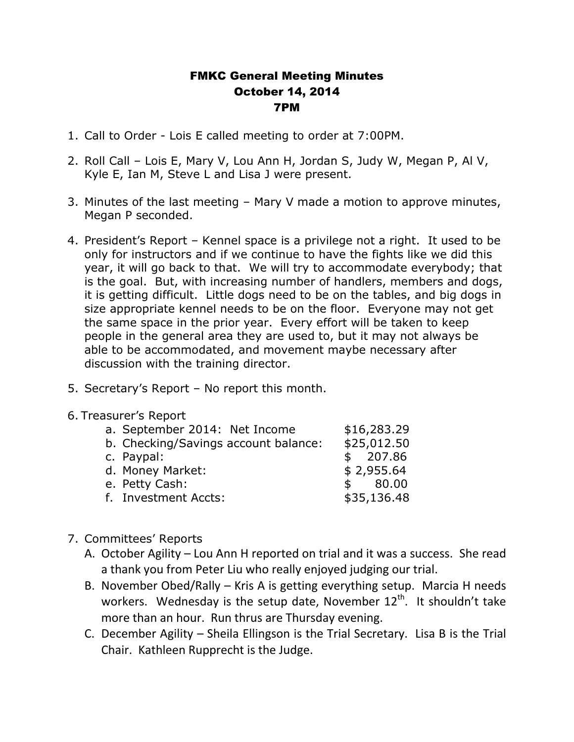## FMKC General Meeting Minutes October 14, 2014 7PM

- 1. Call to Order Lois E called meeting to order at 7:00PM.
- 2. Roll Call Lois E, Mary V, Lou Ann H, Jordan S, Judy W, Megan P, Al V, Kyle E, Ian M, Steve L and Lisa J were present.
- 3. Minutes of the last meeting Mary V made a motion to approve minutes, Megan P seconded.
- 4. President's Report Kennel space is a privilege not a right. It used to be only for instructors and if we continue to have the fights like we did this year, it will go back to that. We will try to accommodate everybody; that is the goal. But, with increasing number of handlers, members and dogs, it is getting difficult. Little dogs need to be on the tables, and big dogs in size appropriate kennel needs to be on the floor. Everyone may not get the same space in the prior year. Every effort will be taken to keep people in the general area they are used to, but it may not always be able to be accommodated, and movement maybe necessary after discussion with the training director.
- 5. Secretary's Report No report this month.
- 6. Treasurer's Report

| a. September 2014: Net Income        | \$16,283.29 |
|--------------------------------------|-------------|
| b. Checking/Savings account balance: | \$25,012.50 |
| c. Paypal:                           | \$207.86    |
| d. Money Market:                     | \$2,955.64  |
| e. Petty Cash:                       | \$80.00     |
| f. Investment Accts:                 | \$35,136.48 |

- 7. Committees' Reports
	- A. October Agility Lou Ann H reported on trial and it was a success. She read a thank you from Peter Liu who really enjoyed judging our trial.
	- B. November Obed/Rally Kris A is getting everything setup. Marcia H needs workers. Wednesday is the setup date, November 12<sup>th</sup>. It shouldn't take more than an hour. Run thrus are Thursday evening.
	- C. December Agility Sheila Ellingson is the Trial Secretary. Lisa B is the Trial Chair. Kathleen Rupprecht is the Judge.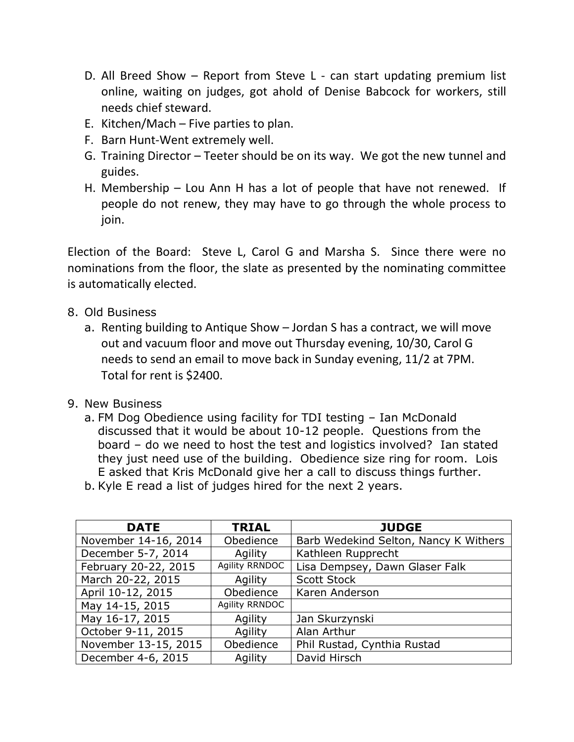- D. All Breed Show Report from Steve L can start updating premium list online, waiting on judges, got ahold of Denise Babcock for workers, still needs chief steward.
- E. Kitchen/Mach Five parties to plan.
- F. Barn Hunt-Went extremely well.
- G. Training Director Teeter should be on its way. We got the new tunnel and guides.
- H. Membership Lou Ann H has a lot of people that have not renewed. If people do not renew, they may have to go through the whole process to join.

Election of the Board: Steve L, Carol G and Marsha S. Since there were no nominations from the floor, the slate as presented by the nominating committee is automatically elected.

- 8. Old Business
	- a. Renting building to Antique Show Jordan S has a contract, we will move out and vacuum floor and move out Thursday evening, 10/30, Carol G needs to send an email to move back in Sunday evening, 11/2 at 7PM. Total for rent is \$2400.
- 9. New Business
	- a. FM Dog Obedience using facility for TDI testing Ian McDonald discussed that it would be about 10-12 people. Questions from the board – do we need to host the test and logistics involved? Ian stated they just need use of the building. Obedience size ring for room. Lois E asked that Kris McDonald give her a call to discuss things further.
	- b. Kyle E read a list of judges hired for the next 2 years.

| <b>DATE</b>          | <b>TRIAL</b>          | <b>JUDGE</b>                          |  |  |
|----------------------|-----------------------|---------------------------------------|--|--|
| November 14-16, 2014 | Obedience             | Barb Wedekind Selton, Nancy K Withers |  |  |
| December 5-7, 2014   | Agility               | Kathleen Rupprecht                    |  |  |
| February 20-22, 2015 | <b>Agility RRNDOC</b> | Lisa Dempsey, Dawn Glaser Falk        |  |  |
| March 20-22, 2015    | Agility               | <b>Scott Stock</b>                    |  |  |
| April 10-12, 2015    | Obedience             | Karen Anderson                        |  |  |
| May 14-15, 2015      | Agility RRNDOC        |                                       |  |  |
| May 16-17, 2015      | Agility               | Jan Skurzynski                        |  |  |
| October 9-11, 2015   | Agility               | Alan Arthur                           |  |  |
| November 13-15, 2015 | Obedience             | Phil Rustad, Cynthia Rustad           |  |  |
| December 4-6, 2015   | Agility               | David Hirsch                          |  |  |